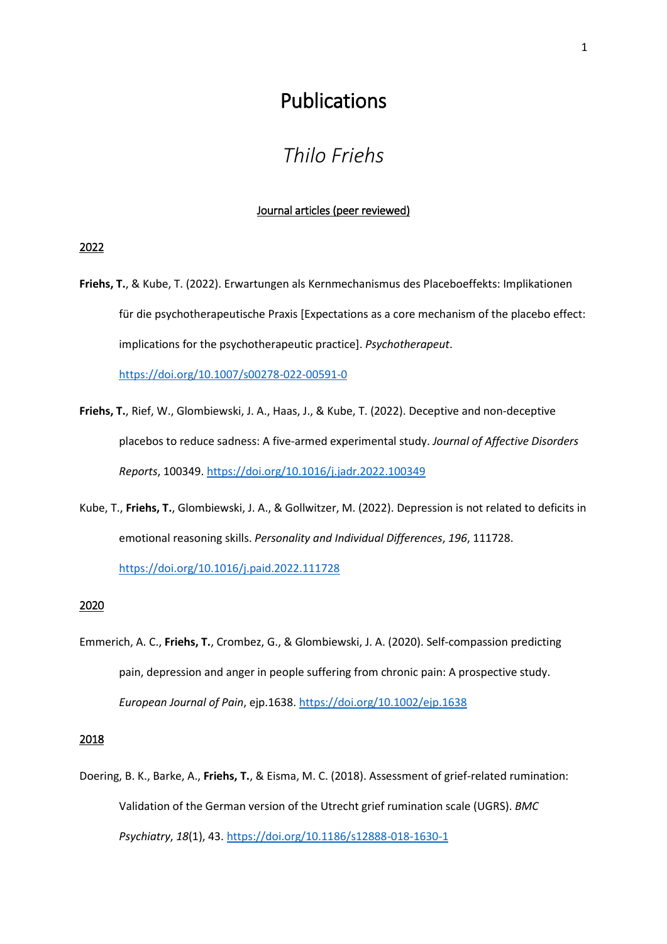# Publications

# *Thilo Friehs*

#### Journal articles (peer reviewed)

### 2022

**Friehs, T.**, & Kube, T. (2022). Erwartungen als Kernmechanismus des Placeboeffekts: Implikationen für die psychotherapeutische Praxis [Expectations as a core mechanism of the placebo effect: implications for the psychotherapeutic practice]. *Psychotherapeut*.

<https://doi.org/10.1007/s00278-022-00591-0>

- **Friehs, T.**, Rief, W., Glombiewski, J. A., Haas, J., & Kube, T. (2022). Deceptive and non-deceptive placebos to reduce sadness: A five-armed experimental study. *Journal of Affective Disorders Reports*, 100349. <https://doi.org/10.1016/j.jadr.2022.100349>
- Kube, T., **Friehs, T.**, Glombiewski, J. A., & Gollwitzer, M. (2022). Depression is not related to deficits in emotional reasoning skills. *Personality and Individual Differences*, *196*, 111728.

<https://doi.org/10.1016/j.paid.2022.111728>

## 2020

Emmerich, A. C., **Friehs, T.**, Crombez, G., & Glombiewski, J. A. (2020). Self‐compassion predicting pain, depression and anger in people suffering from chronic pain: A prospective study. *European Journal of Pain*, ejp.1638.<https://doi.org/10.1002/ejp.1638>

#### 2018

Doering, B. K., Barke, A., **Friehs, T.**, & Eisma, M. C. (2018). Assessment of grief-related rumination: Validation of the German version of the Utrecht grief rumination scale (UGRS). *BMC Psychiatry*, *18*(1), 43.<https://doi.org/10.1186/s12888-018-1630-1>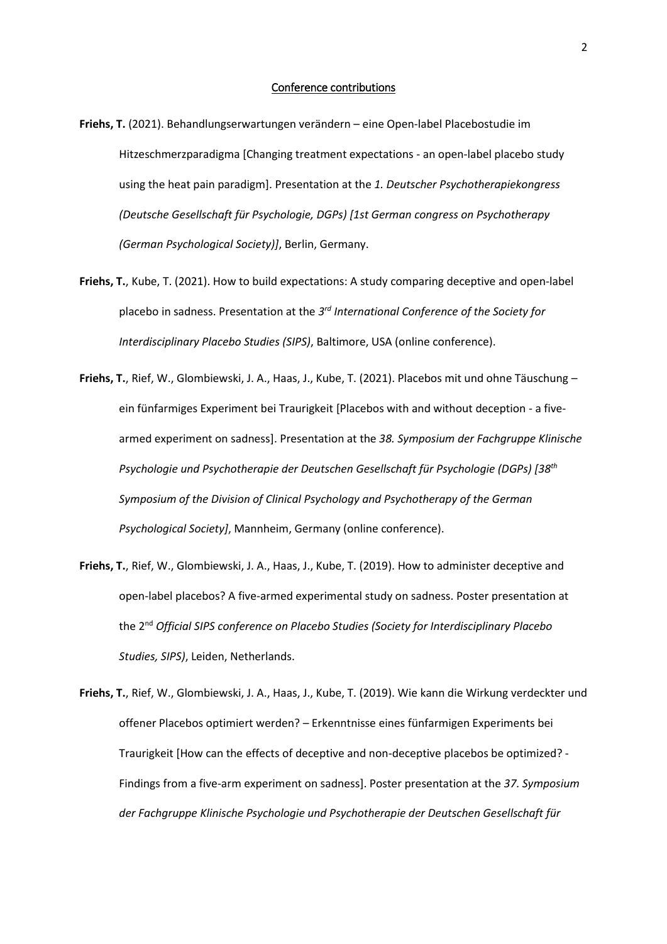- **Friehs, T.** (2021). Behandlungserwartungen verändern eine Open-label Placebostudie im Hitzeschmerzparadigma [Changing treatment expectations - an open-label placebo study using the heat pain paradigm]. Presentation at the *1. Deutscher Psychotherapiekongress (Deutsche Gesellschaft für Psychologie, DGPs) [1st German congress on Psychotherapy (German Psychological Society)]*, Berlin, Germany.
- **Friehs, T.**, Kube, T. (2021). How to build expectations: A study comparing deceptive and open-label placebo in sadness. Presentation at the *3 rd International Conference of the Society for Interdisciplinary Placebo Studies (SIPS)*, Baltimore, USA (online conference).
- **Friehs, T.**, Rief, W., Glombiewski, J. A., Haas, J., Kube, T. (2021). Placebos mit und ohne Täuschung ein fünfarmiges Experiment bei Traurigkeit [Placebos with and without deception - a fivearmed experiment on sadness]. Presentation at the *38. Symposium der Fachgruppe Klinische Psychologie und Psychotherapie der Deutschen Gesellschaft für Psychologie (DGPs) [38th Symposium of the Division of Clinical Psychology and Psychotherapy of the German Psychological Society]*, Mannheim, Germany (online conference).
- **Friehs, T.**, Rief, W., Glombiewski, J. A., Haas, J., Kube, T. (2019). How to administer deceptive and open-label placebos? A five-armed experimental study on sadness. Poster presentation at the 2 nd *Official SIPS conference on Placebo Studies (Society for Interdisciplinary Placebo Studies, SIPS)*, Leiden, Netherlands.
- **Friehs, T.**, Rief, W., Glombiewski, J. A., Haas, J., Kube, T. (2019). Wie kann die Wirkung verdeckter und offener Placebos optimiert werden? – Erkenntnisse eines fünfarmigen Experiments bei Traurigkeit [How can the effects of deceptive and non-deceptive placebos be optimized? - Findings from a five-arm experiment on sadness]. Poster presentation at the *37. Symposium der Fachgruppe Klinische Psychologie und Psychotherapie der Deutschen Gesellschaft für*